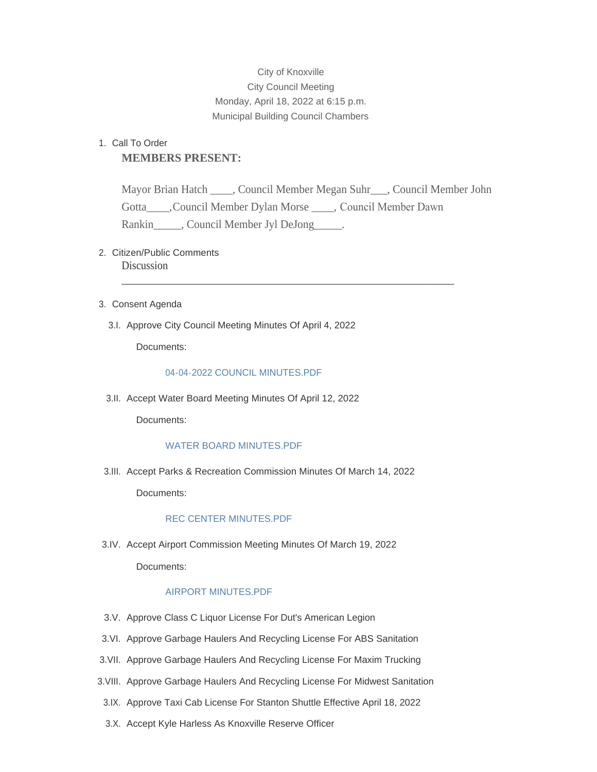# City of Knoxville City Council Meeting Monday, April 18, 2022 at 6:15 p.m. Municipal Building Council Chambers

# 1. Call To Order **MEMBERS PRESENT:**

Mayor Brian Hatch \_\_\_\_, Council Member Megan Suhr\_\_\_, Council Member John Gotta\_\_\_\_,Council Member Dylan Morse \_\_\_\_, Council Member Dawn Rankin \_\_\_\_\_, Council Member Jyl DeJong \_\_\_\_\_.

\_\_\_\_\_\_\_\_\_\_\_\_\_\_\_\_\_\_\_\_\_\_\_\_\_\_\_\_\_\_\_\_\_\_\_\_\_\_\_\_\_\_\_\_\_\_\_\_\_\_\_\_\_\_\_\_\_

# 2. Citizen/Public Comments **Discussion**

- 3. Consent Agenda
	- 3.I. Approve City Council Meeting Minutes Of April 4, 2022

Documents:

# [04-04-2022 COUNCIL MINUTES.PDF](http://www.knoxvilleia.gov/AgendaCenter/ViewFile/Item/5427?fileID=4397)

3.II. Accept Water Board Meeting Minutes Of April 12, 2022

Documents:

# [WATER BOARD MINUTES.PDF](http://www.knoxvilleia.gov/AgendaCenter/ViewFile/Item/5430?fileID=4400)

3.III. Accept Parks & Recreation Commission Minutes Of March 14, 2022

Documents:

## [REC CENTER MINUTES.PDF](http://www.knoxvilleia.gov/AgendaCenter/ViewFile/Item/5423?fileID=4392)

3.IV. Accept Airport Commission Meeting Minutes Of March 19, 2022

Documents:

# [AIRPORT MINUTES.PDF](http://www.knoxvilleia.gov/AgendaCenter/ViewFile/Item/5426?fileID=4396)

- 3.V. Approve Class C Liquor License For Dut's American Legion
- 3.VI. Approve Garbage Haulers And Recycling License For ABS Sanitation
- 3. VII. Approve Garbage Haulers And Recycling License For Maxim Trucking
- 3. VIII. Approve Garbage Haulers And Recycling License For Midwest Sanitation
- 3.IX. Approve Taxi Cab License For Stanton Shuttle Effective April 18, 2022
- 3.X. Accept Kyle Harless As Knoxville Reserve Officer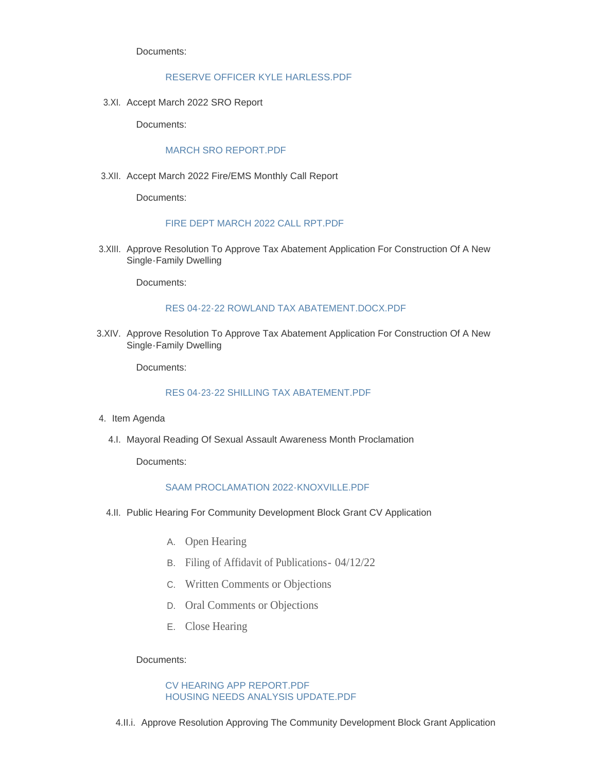Documents:

#### [RESERVE OFFICER KYLE HARLESS.PDF](http://www.knoxvilleia.gov/AgendaCenter/ViewFile/Item/5425?fileID=4395)

3.XI. Accept March 2022 SRO Report

Documents:

## [MARCH SRO REPORT.PDF](http://www.knoxvilleia.gov/AgendaCenter/ViewFile/Item/5412?fileID=4382)

3.XII. Accept March 2022 Fire/EMS Monthly Call Report

Documents:

#### [FIRE DEPT MARCH 2022 CALL RPT.PDF](http://www.knoxvilleia.gov/AgendaCenter/ViewFile/Item/5416?fileID=4383)

3.XIII. Approve Resolution To Approve Tax Abatement Application For Construction Of A New Single-Family Dwelling

Documents:

## [RES 04-22-22 ROWLAND TAX ABATEMENT.DOCX.PDF](http://www.knoxvilleia.gov/AgendaCenter/ViewFile/Item/5429?fileID=4399)

3.XIV. Approve Resolution To Approve Tax Abatement Application For Construction Of A New Single-Family Dwelling

Documents:

## [RES 04-23-22 SHILLING TAX ABATEMENT.PDF](http://www.knoxvilleia.gov/AgendaCenter/ViewFile/Item/5432?fileID=4417)

- 4. Item Agenda
	- 4.I. Mayoral Reading Of Sexual Assault Awareness Month Proclamation

Documents:

#### [SAAM PROCLAMATION 2022-KNOXVILLE.PDF](http://www.knoxvilleia.gov/AgendaCenter/ViewFile/Item/5417?fileID=4384)

- 4.II. Public Hearing For Community Development Block Grant CV Application
	- A. Open Hearing
	- B. Filing of Affidavit of Publications- 04/12/22
	- C. Written Comments or Objections
	- D. Oral Comments or Objections
	- E. Close Hearing

Documents:

#### [CV HEARING APP REPORT.PDF](http://www.knoxvilleia.gov/AgendaCenter/ViewFile/Item/5420?fileID=4390) [HOUSING NEEDS ANALYSIS UPDATE.PDF](http://www.knoxvilleia.gov/AgendaCenter/ViewFile/Item/5420?fileID=4391)

4.II.i. Approve Resolution Approving The Community Development Block Grant Application